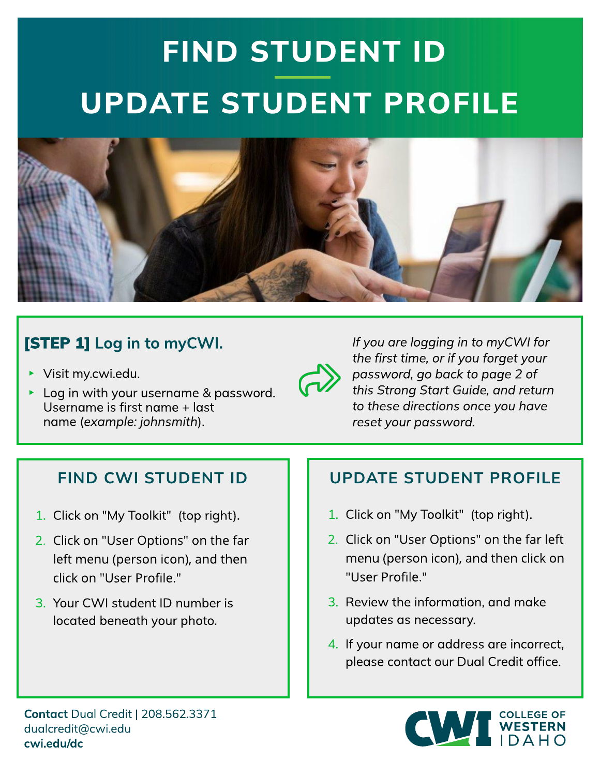# FIND STUDENT ID UPDATE STUDENT PROFILE



### [STEP 1] Log in to myCWI.

 $\triangleright$  Visit [my.cw](https://my.cwi.edu)i.edu.



**If you are logging in to myCW I for the first time, or if you forget your password, go back to page 2 of this Strong Start Guide, and return to these directions once you have reset your password.**

### **FIND CWI STUDENT ID**

- 1. Click on "My Toolkit" (top right).
- 2. Click on "User Options" on the far left menu (person icon), and then click on "User Profile."
- 3. Your CWI student ID number is located beneath your photo.

#### UPDATE STUDENT PROFILE

- 1. Click on "My Toolkit" (top right).
- 2. Click on "User Options" on the far left menu (person icon), and then click on "User Profile."
- 3. Review the information, and make updates as necessary.
- 4. If your name or address are incorrect, please contact our Dual Credit office.



Contact Dual Credit | 208.562.3371 [dualcredit@cw](mailto:dualcredit@cwi.edu) i.edu cw [i.edu/dc](https://cwi.edu/dc)